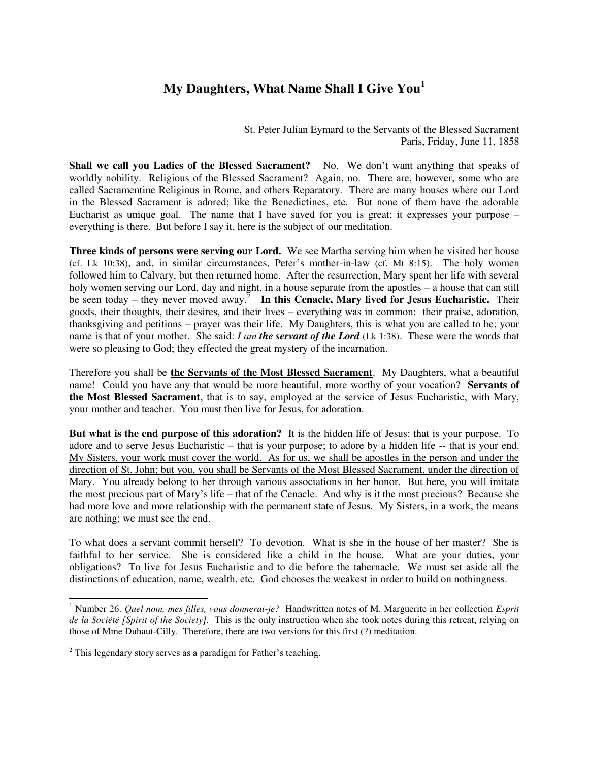## **My Daughters, What Name Shall I Give You<sup>1</sup>**

St. Peter Julian Eymard to the Servants of the Blessed Sacrament Paris, Friday, June 11, 1858

Shall we call you Ladies of the Blessed Sacrament? No. We don't want anything that speaks of worldly nobility. Religious of the Blessed Sacrament? Again, no. There are, however, some who are called Sacramentine Religious in Rome, and others Reparatory. There are many houses where our Lord in the Blessed Sacrament is adored; like the Benedictines, etc. But none of them have the adorable Eucharist as unique goal. The name that I have saved for you is great; it expresses your purpose  $$ everything is there. But before I say it, here is the subject of our meditation.

**Three kinds of persons were serving our Lord.** We see Martha serving him when he visited her house (cf. Lk 10:38), and, in similar circumstances, Peter's mother-in-law (cf. Mt 8:15). The holy women followed him to Calvary, but then returned home. After the resurrection, Mary spent her life with several holy women serving our Lord, day and night, in a house separate from the apostles – a house that can still be seen today – they never moved away.<sup>2</sup> In this Cenacle, Mary lived for Jesus Eucharistic. Their goods, their thoughts, their desires, and their lives – everything was in common: their praise, adoration, thanksgiving and petitions – prayer was their life. My Daughters, this is what you are called to be; your name is that of your mother. She said: *I am the servant of the Lord* (Lk 1:38). These were the words that were so pleasing to God; they effected the great mystery of the incarnation.

Therefore you shall be **the Servants of the Most Blessed Sacrament**. My Daughters, what a beautiful name! Could you have any that would be more beautiful, more worthy of your vocation? **Servants of the Most Blessed Sacrament**, that is to say, employed at the service of Jesus Eucharistic, with Mary, your mother and teacher. You must then live for Jesus, for adoration.

**But what is the end purpose of this adoration?** It is the hidden life of Jesus: that is your purpose. To adore and to serve Jesus Eucharistic – that is your purpose; to adore by a hidden life -- that is your end. My Sisters, your work must cover the world. As for us, we shall be apostles in the person and under the direction of St. John; but you, you shall be Servants of the Most Blessed Sacrament, under the direction of Mary. You already belong to her through various associations in her honor. But here, you will imitate the most precious part of Mary's life – that of the Cenacle. And why is it the most precious? Because she had more love and more relationship with the permanent state of Jesus. My Sisters, in a work, the means are nothing; we must see the end.

To what does a servant commit herself? To devotion. What is she in the house of her master? She is faithful to her service. She is considered like a child in the house. What are your duties, your obligations? To live for Jesus Eucharistic and to die before the tabernacle. We must set aside all the distinctions of education, name, wealth, etc. God chooses the weakest in order to build on nothingness.

 1 Number 26. *Quel nom, mes filles, vous donnerai-je?* Handwritten notes of M. Marguerite in her collection *Esprit de la Société [Spirit of the Society].* This is the only instruction when she took notes during this retreat, relying on those of Mme Duhaut-Cilly. Therefore, there are two versions for this first (?) meditation.

 $2$  This legendary story serves as a paradigm for Father's teaching.